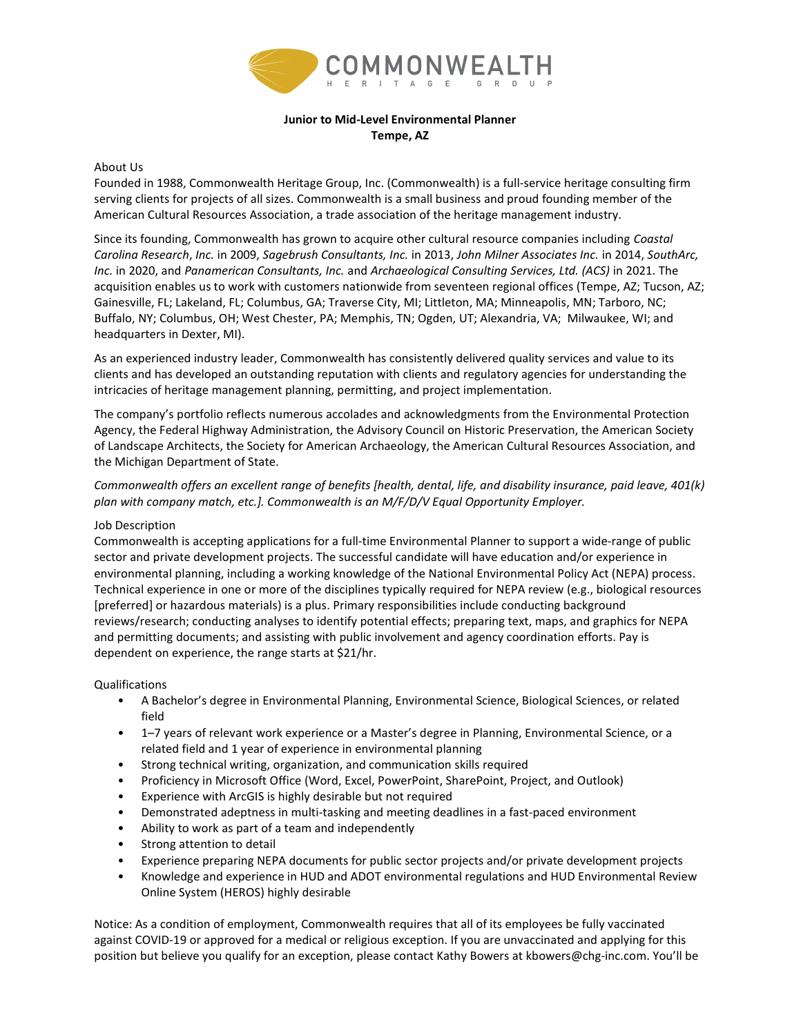

## Junior to Mid-Level Environmental Planner Tempe, AZ

### About Us

Founded in 1988, Commonwealth Heritage Group, Inc. (Commonwealth) is a full-service heritage consulting firm serving clients for projects of all sizes. Commonwealth is a small business and proud founding member of the American Cultural Resources Association, a trade association of the heritage management industry.

Since its founding, Commonwealth has grown to acquire other cultural resource companies including Coastal Carolina Research, Inc. in 2009, Sagebrush Consultants, Inc. in 2013, John Milner Associates Inc. in 2014, SouthArc, Inc. in 2020, and Panamerican Consultants, Inc. and Archaeological Consulting Services, Ltd. (ACS) in 2021. The acquisition enables us to work with customers nationwide from seventeen regional offices (Tempe, AZ; Tucson, AZ; Gainesville, FL; Lakeland, FL; Columbus, GA; Traverse City, MI; Littleton, MA; Minneapolis, MN; Tarboro, NC; Buffalo, NY; Columbus, OH; West Chester, PA; Memphis, TN; Ogden, UT; Alexandria, VA; Milwaukee, WI; and headquarters in Dexter, MI).

As an experienced industry leader, Commonwealth has consistently delivered quality services and value to its clients and has developed an outstanding reputation with clients and regulatory agencies for understanding the intricacies of heritage management planning, permitting, and project implementation.

The company's portfolio reflects numerous accolades and acknowledgments from the Environmental Protection Agency, the Federal Highway Administration, the Advisory Council on Historic Preservation, the American Society of Landscape Architects, the Society for American Archaeology, the American Cultural Resources Association, and the Michigan Department of State.

# Commonwealth offers an excellent range of benefits [health, dental, life, and disability insurance, paid leave, 401(k) plan with company match, etc.]. Commonwealth is an M/F/D/V Equal Opportunity Employer.

### Job Description

Commonwealth is accepting applications for a full-time Environmental Planner to support a wide-range of public sector and private development projects. The successful candidate will have education and/or experience in environmental planning, including a working knowledge of the National Environmental Policy Act (NEPA) process. Technical experience in one or more of the disciplines typically required for NEPA review (e.g., biological resources [preferred] or hazardous materials) is a plus. Primary responsibilities include conducting background reviews/research; conducting analyses to identify potential effects; preparing text, maps, and graphics for NEPA and permitting documents; and assisting with public involvement and agency coordination efforts. Pay is dependent on experience, the range starts at \$21/hr.

### Qualifications

- A Bachelor's degree in Environmental Planning, Environmental Science, Biological Sciences, or related field
- 1–7 years of relevant work experience or a Master's degree in Planning, Environmental Science, or a related field and 1 year of experience in environmental planning
- Strong technical writing, organization, and communication skills required
- Proficiency in Microsoft Office (Word, Excel, PowerPoint, SharePoint, Project, and Outlook)
- Experience with ArcGIS is highly desirable but not required
- Demonstrated adeptness in multi-tasking and meeting deadlines in a fast-paced environment
- Ability to work as part of a team and independently
- Strong attention to detail
- Experience preparing NEPA documents for public sector projects and/or private development projects
- Knowledge and experience in HUD and ADOT environmental regulations and HUD Environmental Review Online System (HEROS) highly desirable

Notice: As a condition of employment, Commonwealth requires that all of its employees be fully vaccinated against COVID-19 or approved for a medical or religious exception. If you are unvaccinated and applying for this position but believe you qualify for an exception, please contact Kathy Bowers at kbowers@chg-inc.com. You'll be